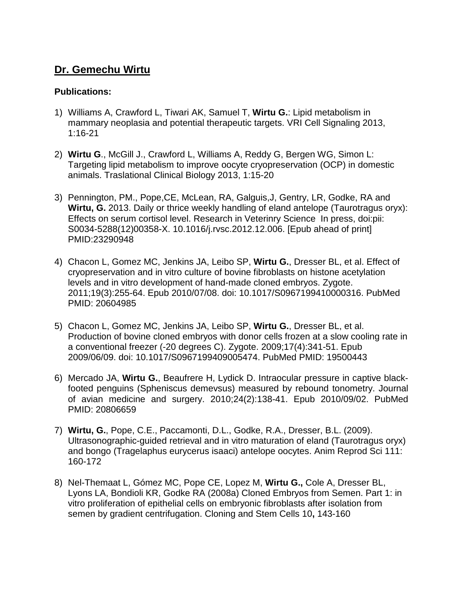## **Dr. Gemechu Wirtu**

## **Publications:**

- 1) Williams A, Crawford L, Tiwari AK, Samuel T, **Wirtu G.**: Lipid metabolism in mammary neoplasia and potential therapeutic targets. VRI Cell Signaling 2013, 1:16-21
- 2) **Wirtu G**., McGill J., Crawford L, Williams A, Reddy G, Bergen WG, Simon L: Targeting lipid metabolism to improve oocyte cryopreservation (OCP) in domestic animals. Traslational Clinical Biology 2013, 1:15-20
- 3) Pennington, PM., Pope,CE, McLean, RA, Galguis,J, Gentry, LR, Godke, RA and **Wirtu, G.** 2013. Daily or thrice weekly handling of eland antelope (Taurotragus oryx): Effects on serum cortisol level. Research in Veterinry Science In press, doi:pii: S0034-5288(12)00358-X. 10.1016/j.rvsc.2012.12.006. [Epub ahead of print] PMID:23290948
- 4) Chacon L, Gomez MC, Jenkins JA, Leibo SP, **Wirtu G.**, Dresser BL, et al. Effect of cryopreservation and in vitro culture of bovine fibroblasts on histone acetylation levels and in vitro development of hand-made cloned embryos. Zygote. 2011;19(3):255-64. Epub 2010/07/08. doi: 10.1017/S0967199410000316. PubMed PMID: 20604985
- 5) Chacon L, Gomez MC, Jenkins JA, Leibo SP, **Wirtu G.**, Dresser BL, et al. Production of bovine cloned embryos with donor cells frozen at a slow cooling rate in a conventional freezer (-20 degrees C). Zygote. 2009;17(4):341-51. Epub 2009/06/09. doi: 10.1017/S0967199409005474. PubMed PMID: 19500443
- 6) Mercado JA, **Wirtu G.**, Beaufrere H, Lydick D. Intraocular pressure in captive blackfooted penguins (Spheniscus demevsus) measured by rebound tonometry. Journal of avian medicine and surgery. 2010;24(2):138-41. Epub 2010/09/02. PubMed PMID: 20806659
- 7) **Wirtu, G.**, Pope, C.E., Paccamonti, D.L., Godke, R.A., Dresser, B.L. (2009). Ultrasonographic-guided retrieval and in vitro maturation of eland (Taurotragus oryx) and bongo (Tragelaphus eurycerus isaaci) antelope oocytes. Anim Reprod Sci 111: 160-172
- 8) Nel-Themaat L, Gómez MC, Pope CE, Lopez M, **Wirtu G.,** Cole A, Dresser BL, Lyons LA, Bondioli KR, Godke RA (2008a) Cloned Embryos from Semen. Part 1: in vitro proliferation of epithelial cells on embryonic fibroblasts after isolation from semen by gradient centrifugation. Cloning and Stem Cells 10**,** 143-160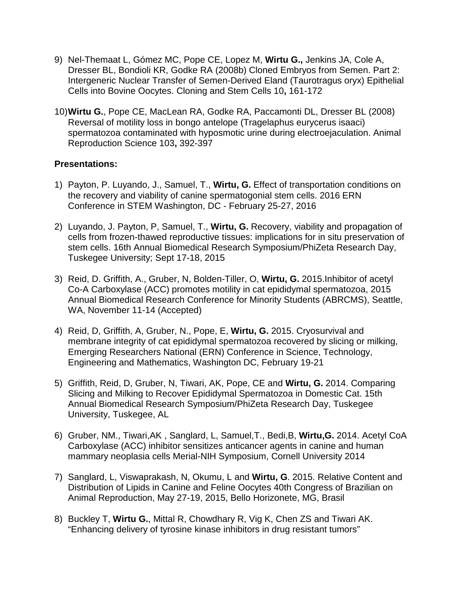- 9) Nel-Themaat L, Gómez MC, Pope CE, Lopez M, **Wirtu G.,** Jenkins JA, Cole A, Dresser BL, Bondioli KR, Godke RA (2008b) Cloned Embryos from Semen. Part 2: Intergeneric Nuclear Transfer of Semen-Derived Eland (Taurotragus oryx) Epithelial Cells into Bovine Oocytes. Cloning and Stem Cells 10**,** 161-172
- 10)**Wirtu G.**, Pope CE, MacLean RA, Godke RA, Paccamonti DL, Dresser BL (2008) Reversal of motility loss in bongo antelope (Tragelaphus eurycerus isaaci) spermatozoa contaminated with hyposmotic urine during electroejaculation. Animal Reproduction Science 103**,** 392-397

## **Presentations:**

- 1) Payton, P. Luyando, J., Samuel, T., **Wirtu, G.** Effect of transportation conditions on the recovery and viability of canine spermatogonial stem cells. 2016 ERN Conference in STEM Washington, DC - February 25-27, 2016
- 2) Luyando, J. Payton, P, Samuel, T., **Wirtu, G.** Recovery, viability and propagation of cells from frozen-thawed reproductive tissues: implications for in situ preservation of stem cells. 16th Annual Biomedical Research Symposium/PhiZeta Research Day, Tuskegee University; Sept 17-18, 2015
- 3) Reid, D. Griffith, A., Gruber, N, Bolden-Tiller, O, **Wirtu, G.** 2015.Inhibitor of acetyl Co-A Carboxylase (ACC) promotes motility in cat epididymal spermatozoa, 2015 Annual Biomedical Research Conference for Minority Students (ABRCMS), Seattle, WA, November 11-14 (Accepted)
- 4) Reid, D, Griffith, A, Gruber, N., Pope, E, **Wirtu, G.** 2015. Cryosurvival and membrane integrity of cat epididymal spermatozoa recovered by slicing or milking, Emerging Researchers National (ERN) Conference in Science, Technology, Engineering and Mathematics, Washington DC, February 19-21
- 5) Griffith, Reid, D, Gruber, N, Tiwari, AK, Pope, CE and **Wirtu, G.** 2014. Comparing Slicing and Milking to Recover Epididymal Spermatozoa in Domestic Cat. 15th Annual Biomedical Research Symposium/PhiZeta Research Day, Tuskegee University, Tuskegee, AL
- 6) Gruber, NM., Tiwari,AK , Sanglard, L, Samuel,T., Bedi,B, **Wirtu,G.** 2014. Acetyl CoA Carboxylase (ACC) inhibitor sensitizes anticancer agents in canine and human mammary neoplasia cells Merial-NIH Symposium, Cornell University 2014
- 7) Sanglard, L, Viswaprakash, N, Okumu, L and **Wirtu, G**. 2015. Relative Content and Distribution of Lipids in Canine and Feline Oocytes 40th Congress of Brazilian on Animal Reproduction, May 27-19, 2015, Bello Horizonete, MG, Brasil
- 8) Buckley T, **Wirtu G.**, Mittal R, Chowdhary R, Vig K, Chen ZS and Tiwari AK. "Enhancing delivery of tyrosine kinase inhibitors in drug resistant tumors"